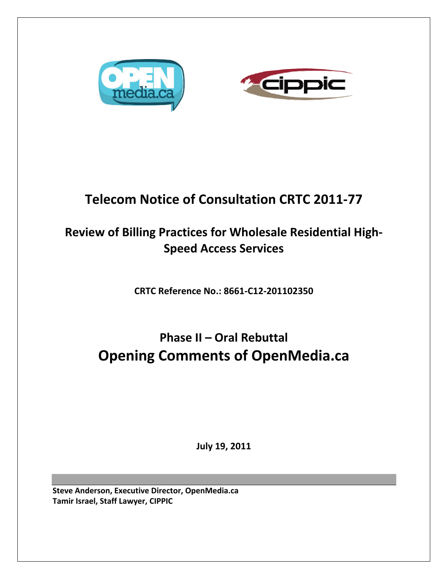



## **Telecom Notice of Consultation CRTC 2011‐77**

## **Review of Billing Practices for Wholesale Residential High‐ Speed Access Services**

**CRTC Reference No.: 8661‐C12‐201102350**

# **Phase II – Oral Rebuttal Opening Comments of OpenMedia.ca**

**July 19, 2011**

**Steve Anderson, Executive Director, OpenMedia.ca Tamir Israel, Staff Lawyer, CIPPIC**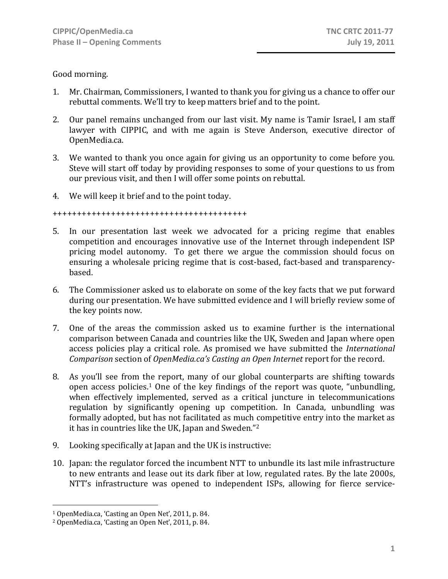Good morning.

- 1. Mr. Chairman, Commissioners, I wanted to thank you for giving us a chance to offer our rebuttal comments. We'll try to keep matters brief and to the point.
- 2. Our panel remains unchanged from our last visit. My name is Tamir Israel, I am staff lawyer with CIPPIC, and with me again is Steve Anderson, executive director of OpenMedia.ca.
- 3. We wanted to thank you once again for giving us an opportunity to come before you. Steve will start off today by providing responses to some of your questions to us from our previous visit, and then I will offer some points on rebuttal.
- 4. We will keep it brief and to the point today.

++++++++++++++++++++++++++++++++++++++++

- 5. In our presentation last week we advocated for a pricing regime that enables competition and encourages innovative use of the Internet through independent ISP pricing model autonomy. To get there we argue the commission should focus on ensuring a wholesale pricing regime that is cost-based, fact-based and transparencybased.
- 6. The Commissioner asked us to elaborate on some of the key facts that we put forward during our presentation. We have submitted evidence and I will briefly review some of the key points now.
- 7. One of the areas the commission asked us to examine further is the international comparison between Canada and countries like the UK, Sweden and Japan where open access policies play a critical role. As promised we have submitted the *International Comparison* section of *OpenMedia.ca's Casting an Open Internet* report for the record.
- 8. As you'll see from the report, many of our global counterparts are shifting towards open access policies.1 One of the key findings of the report was quote, "unbundling, when effectively implemented, served as a critical juncture in telecommunications regulation by significantly opening up competition. In Canada, unbundling was formally adopted, but has not facilitated as much competitive entry into the market as it has in countries like the UK, Japan and Sweden."2
- 9. Looking specifically at Japan and the UK is instructive:
- 10. Japan: the regulator forced the incumbent NTT to unbundle its last mile infrastructure to new entrants and lease out its dark fiber at low, regulated rates. By the late 2000s, NTT's infrastructure was opened to independent ISPs, allowing for fierce service‐

 $\overline{a}$ 

<sup>1</sup> OpenMedia.ca, 'Casting an Open Net', 2011, p. 84.

<sup>2</sup> OpenMedia.ca, 'Casting an Open Net', 2011, p. 84.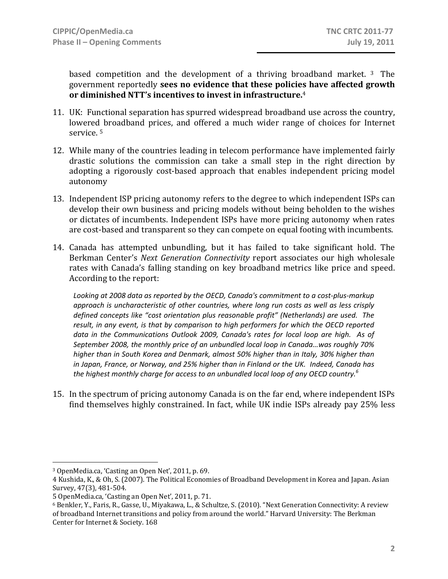based competition and the development of a thriving broadband market. <sup>3</sup> The government reportedly **sees no evidence that these policies have affected growth or diminished NTT's incentives to invest in infrastructure.**<sup>4</sup>

- 11. UK: Functional separation has spurred widespread broadband use across the country, lowered broadband prices, and offered a much wider range of choices for Internet service. 5
- 12. While many of the countries leading in telecom performance have implemented fairly drastic solutions the commission can take a small step in the right direction by adopting a rigorously cost-based approach that enables independent pricing model autonomy
- 13. Independent ISP pricing autonomy refers to the degree to which independent ISPs can develop their own business and pricing models without being beholden to the wishes or dictates of incumbents. Independent ISPs have more pricing autonomy when rates are cost-based and transparent so they can compete on equal footing with incumbents.
- 14. Canada has attempted unbundling, but it has failed to take significant hold. The Berkman Center's *Next Generation Connectivity* report associates our high wholesale rates with Canada's falling standing on key broadband metrics like price and speed. According to the report:

*Looking at 2008 data as reported by the OECD, Canada's commitment to a cost‐plus‐markup approach is uncharacteristic of other countries, where long run costs as well as less crisply defined concepts like "cost orientation plus reasonable profit" (Netherlands) are used. The result, in any event, is that by comparison to high performers for which the OECD reported data in the Communications Outlook 2009, Canada's rates for local loop are high. As of September 2008, the monthly price of an unbundled local loop in Canada…was roughly 70% higher than in South Korea and Denmark, almost 50% higher than in Italy, 30% higher than in Japan, France, or Norway, and 25% higher than in Finland or the UK. Indeed, Canada has the highest monthly charge for access to an unbundled local loop of any OECD country.<sup>6</sup>*

15. In the spectrum of pricing autonomy Canada is on the far end, where independent ISPs find themselves highly constrained. In fact, while UK indie ISPs already pay 25% less

 $\overline{a}$ 3 OpenMedia.ca, 'Casting an Open Net', 2011, p. 69.

<sup>4</sup> Kushida, K., & Oh, S. (2007). The Political Economies of Broadband Development in Korea and Japan. Asian Survey, 47(3), 481‐504.

<sup>5</sup> OpenMedia.ca, 'Casting an Open Net', 2011, p. 71.

<sup>6</sup> Benkler, Y., Faris, R., Gasse, U., Miyakawa, L., & Schultze, S. (2010). "Next Generation Connectivity: A review of broadband Internet transitions and policy from around the world." Harvard University: The Berkman Center for Internet & Society. 168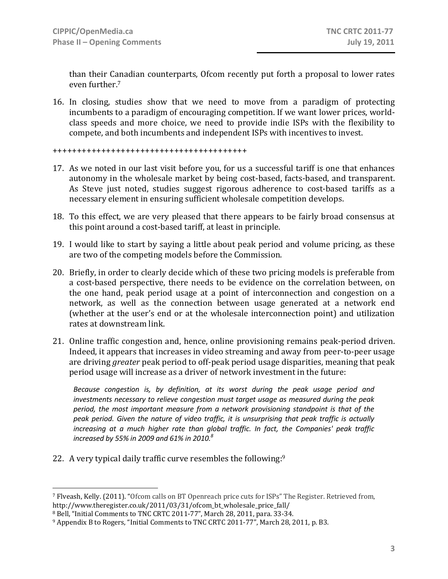than their Canadian counterparts, Ofcom recently put forth a proposal to lower rates even further.7

16. In closing, studies show that we need to move from a paradigm of protecting incumbents to a paradigm of encouraging competition. If we want lower prices, world‐ class speeds and more choice, we need to provide indie ISPs with the flexibility to compete, and both incumbents and independent ISPs with incentives to invest.

#### ++++++++++++++++++++++++++++++++++++++++

- 17. As we noted in our last visit before you, for us a successful tariff is one that enhances autonomy in the wholesale market by being cost‐based, facts‐based, and transparent. As Steve just noted, studies suggest rigorous adherence to cost-based tariffs as a necessary element in ensuring sufficient wholesale competition develops.
- 18. To this effect, we are very pleased that there appears to be fairly broad consensus at this point around a cost‐based tariff, at least in principle.
- 19. I would like to start by saying a little about peak period and volume pricing, as these are two of the competing models before the Commission.
- 20. Briefly, in order to clearly decide which of these two pricing models is preferable from a cost-based perspective, there needs to be evidence on the correlation between, on the one hand, peak period usage at a point of interconnection and congestion on a network, as well as the connection between usage generated at a network end (whether at the user's end or at the wholesale interconnection point) and utilization rates at downstream link.
- 21. Online traffic congestion and, hence, online provisioning remains peak‐period driven. Indeed, it appears that increases in video streaming and away from peer‐to‐peer usage are driving *greater* peak period to off‐peak period usage disparities, meaning that peak period usage will increase as a driver of network investment in the future:

*Because congestion is, by definition, at its worst during the peak usage period and investments necessary to relieve congestion must target usage as measured during the peak period, the most important measure from a network provisioning standpoint is that of the peak period. Given the nature of video traffic, it is unsurprising that peak traffic is actually increasing at a much higher rate than global traffic. In fact, the Companies' peak traffic increased by 55% in 2009 and 61% in 2010.8*

22. A very typical daily traffic curve resembles the following:9

1

<sup>7</sup> Flveash, Kelly. (2011). "Ofcom calls on BT Openreach price cuts for ISPs" The Register. Retrieved from, http://www.theregister.co.uk/2011/03/31/ofcom\_bt\_wholesale\_price\_fall/

<sup>8</sup> Bell, "Initial Comments to TNC CRTC 2011‐77", March 28, 2011, para. 33‐34.

<sup>9</sup> Appendix B to Rogers, "Initial Comments to TNC CRTC 2011‐77", March 28, 2011, p. B3.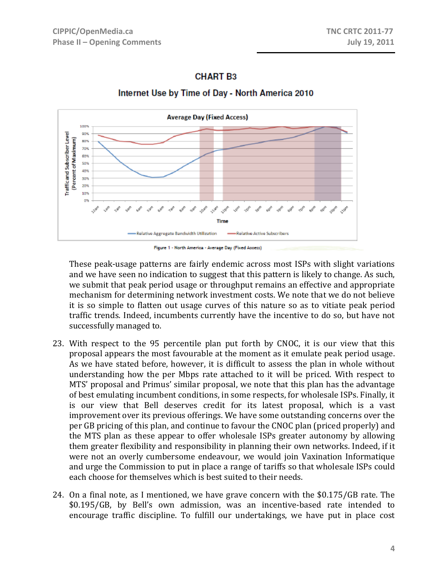### **CHART B3**



### Internet Use by Time of Day - North America 2010



These peak‐usage patterns are fairly endemic across most ISPs with slight variations and we have seen no indication to suggest that this pattern is likely to change. As such, we submit that peak period usage or throughput remains an effective and appropriate mechanism for determining network investment costs. We note that we do not believe it is so simple to flatten out usage curves of this nature so as to vitiate peak period traffic trends. Indeed, incumbents currently have the incentive to do so, but have not successfully managed to.

- 23. With respect to the 95 percentile plan put forth by CNOC, it is our view that this proposal appears the most favourable at the moment as it emulate peak period usage. As we have stated before, however, it is difficult to assess the plan in whole without understanding how the per Mbps rate attached to it will be priced. With respect to MTS' proposal and Primus' similar proposal, we note that this plan has the advantage of best emulating incumbent conditions, in some respects, for wholesale ISPs. Finally, it is our view that Bell deserves credit for its latest proposal, which is a vast improvement over its previous offerings. We have some outstanding concerns over the per GB pricing of this plan, and continue to favour the CNOC plan (priced properly) and the MTS plan as these appear to offer wholesale ISPs greater autonomy by allowing them greater flexibility and responsibility in planning their own networks. Indeed, if it were not an overly cumbersome endeavour, we would join Vaxination Informatique and urge the Commission to put in place a range of tariffs so that wholesale ISPs could each choose for themselves which is best suited to their needs.
- 24. On a final note, as I mentioned, we have grave concern with the \$0.175/GB rate. The \$0.195/GB, by Bell's own admission, was an incentive‐based rate intended to encourage traffic discipline. To fulfill our undertakings, we have put in place cost